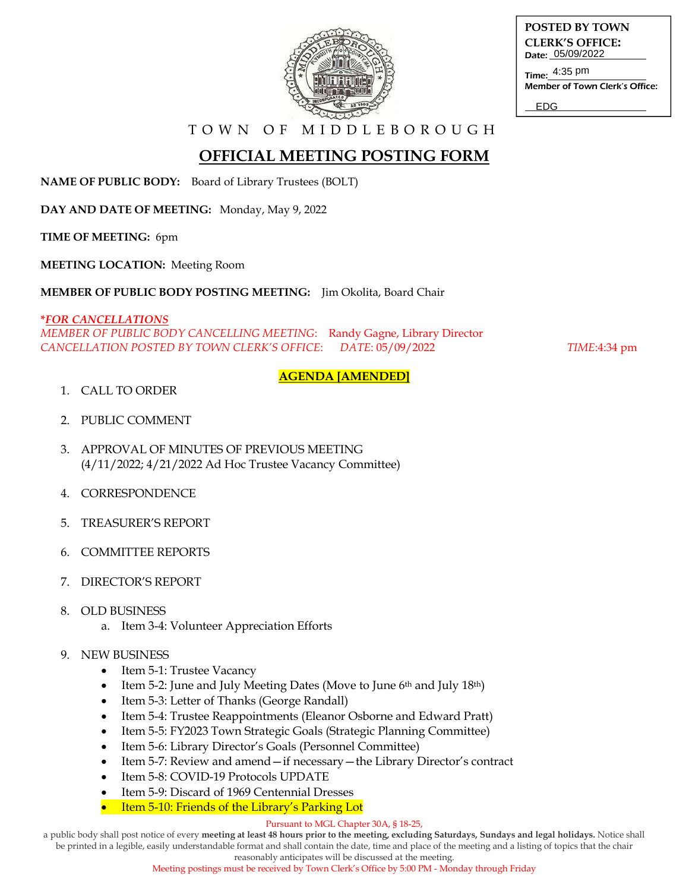

| POSTED BY TOWN         |                  |
|------------------------|------------------|
| <b>CLERK'S OFFICE:</b> |                  |
|                        | Date: 05/09/2022 |
|                        |                  |

Time: 4:35 pm Member of Town Clerk's Office:

EDG

T O W N O F M I D D L E B O R O U G H

## **OFFICIAL MEETING POSTING FORM**

**NAME OF PUBLIC BODY:** Board of Library Trustees (BOLT)

**DAY AND DATE OF MEETING:** Monday, May 9, 2022

**TIME OF MEETING:** 6pm

**MEETING LOCATION:** Meeting Room

**MEMBER OF PUBLIC BODY POSTING MEETING:** Jim Okolita, Board Chair

**\****FOR CANCELLATIONS MEMBER OF PUBLIC BODY CANCELLING MEETING*: Randy Gagne, Library Director *CANCELLATION POSTED BY TOWN CLERK'S OFFICE*: *DATE*: 05/09/2022 *TIME*:4:34 pm

### **AGENDA [AMENDED]**

- 1. CALL TO ORDER
- 2. PUBLIC COMMENT
- 3. APPROVAL OF MINUTES OF PREVIOUS MEETING (4/11/2022; 4/21/2022 Ad Hoc Trustee Vacancy Committee)
- 4. CORRESPONDENCE
- 5. TREASURER'S REPORT
- 6. COMMITTEE REPORTS
- 7. DIRECTOR'S REPORT
- 8. OLD BUSINESS
	- a. Item 3-4: Volunteer Appreciation Efforts

### 9. NEW BUSINESS

- Item 5-1: Trustee Vacancy
- Item 5-2: June and July Meeting Dates (Move to June 6th and July 18th)
- Item 5-3: Letter of Thanks (George Randall)
- Item 5-4: Trustee Reappointments (Eleanor Osborne and Edward Pratt)
- Item 5-5: FY2023 Town Strategic Goals (Strategic Planning Committee)
- Item 5-6: Library Director's Goals (Personnel Committee)
- Item 5-7: Review and amend—if necessary—the Library Director's contract
- Item 5-8: COVID-19 Protocols UPDATE
- Item 5-9: Discard of 1969 Centennial Dresses
- Item 5-10: Friends of the Library's Parking Lot

#### Pursuant to MGL Chapter 30A, § 18-25,

a public body shall post notice of every **meeting at least 48 hours prior to the meeting, excluding Saturdays, Sundays and legal holidays.** Notice shall be printed in a legible, easily understandable format and shall contain the date, time and place of the meeting and a listing of topics that the chair

reasonably anticipates will be discussed at the meeting.